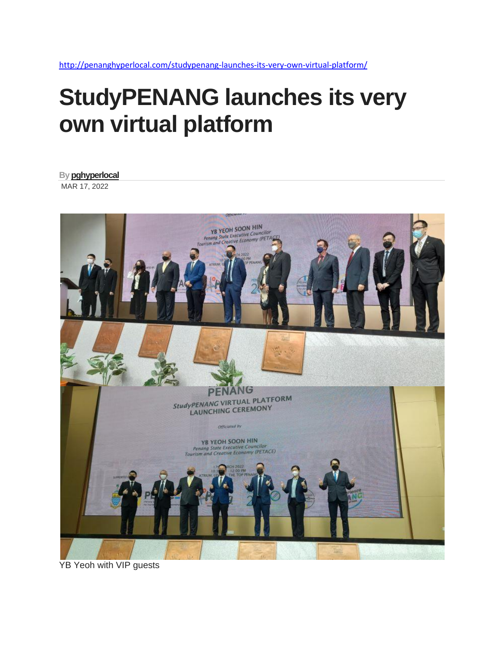<http://penanghyperlocal.com/studypenang-launches-its-very-own-virtual-platform/>

## **StudyPENANG launches its very own virtual platform**

**B[y pghyperlocal](http://penanghyperlocal.com/author/pghyperlocal/)** MAR 17, 2022



YB Yeoh with VIP guests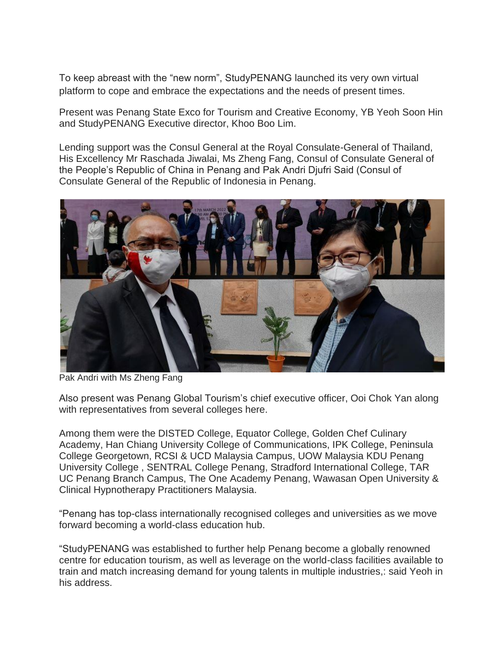To keep abreast with the "new norm", StudyPENANG launched its very own virtual platform to cope and embrace the expectations and the needs of present times.

Present was Penang State Exco for Tourism and Creative Economy, YB Yeoh Soon Hin and StudyPENANG Executive director, Khoo Boo Lim.

Lending support was the Consul General at the Royal Consulate-General of Thailand, His Excellency Mr Raschada Jiwalai, Ms Zheng Fang, Consul of Consulate General of the People's Republic of China in Penang and Pak Andri Djufri Said (Consul of Consulate General of the Republic of Indonesia in Penang.



Pak Andri with Ms Zheng Fang

Also present was Penang Global Tourism's chief executive officer, Ooi Chok Yan along with representatives from several colleges here.

Among them were the DISTED College, Equator College, Golden Chef Culinary Academy, Han Chiang University College of Communications, IPK College, Peninsula College Georgetown, RCSI & UCD Malaysia Campus, UOW Malaysia KDU Penang University College , SENTRAL College Penang, Stradford International College, TAR UC Penang Branch Campus, The One Academy Penang, Wawasan Open University & Clinical Hypnotherapy Practitioners Malaysia.

"Penang has top-class internationally recognised colleges and universities as we move forward becoming a world-class education hub.

"StudyPENANG was established to further help Penang become a globally renowned centre for education tourism, as well as leverage on the world-class facilities available to train and match increasing demand for young talents in multiple industries,: said Yeoh in his address.